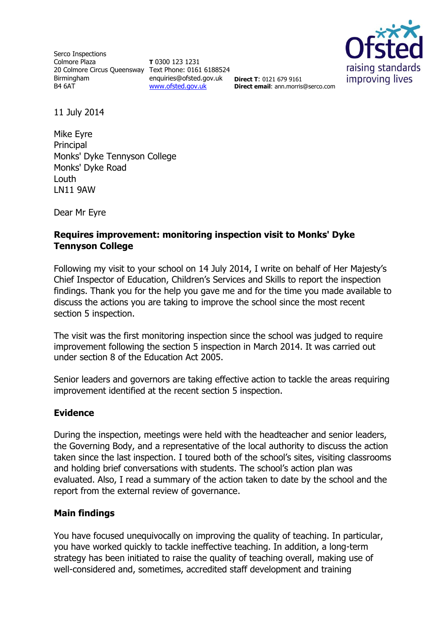Serco Inspections Colmore Plaza 20 Colmore Circus Queensway Text Phone: 0161 6188524 Birmingham B4 6AT

**T** 0300 123 1231 enquiries@ofsted.gov.uk [www.ofsted.gov.uk](http://www.ofsted.gov.uk/)



**Direct T**: 0121 679 9161 **Direct email**: ann.morris@serco.com

11 July 2014

Mike Eyre Principal Monks' Dyke Tennyson College Monks' Dyke Road Louth LN11 9AW

Dear Mr Eyre

## **Requires improvement: monitoring inspection visit to Monks' Dyke Tennyson College**

Following my visit to your school on 14 July 2014, I write on behalf of Her Majesty's Chief Inspector of Education, Children's Services and Skills to report the inspection findings. Thank you for the help you gave me and for the time you made available to discuss the actions you are taking to improve the school since the most recent section 5 inspection.

The visit was the first monitoring inspection since the school was judged to require improvement following the section 5 inspection in March 2014. It was carried out under section 8 of the Education Act 2005.

Senior leaders and governors are taking effective action to tackle the areas requiring improvement identified at the recent section 5 inspection.

## **Evidence**

During the inspection, meetings were held with the headteacher and senior leaders, the Governing Body, and a representative of the local authority to discuss the action taken since the last inspection. I toured both of the school's sites, visiting classrooms and holding brief conversations with students. The school's action plan was evaluated. Also, I read a summary of the action taken to date by the school and the report from the external review of governance.

## **Main findings**

You have focused unequivocally on improving the quality of teaching. In particular, you have worked quickly to tackle ineffective teaching. In addition, a long-term strategy has been initiated to raise the quality of teaching overall, making use of well-considered and, sometimes, accredited staff development and training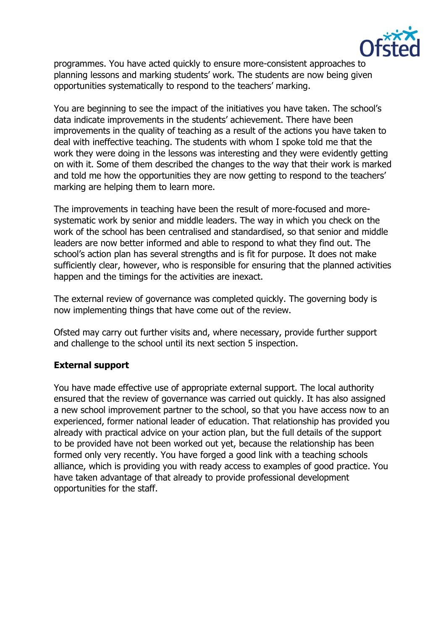

programmes. You have acted quickly to ensure more-consistent approaches to planning lessons and marking students' work. The students are now being given opportunities systematically to respond to the teachers' marking.

You are beginning to see the impact of the initiatives you have taken. The school's data indicate improvements in the students' achievement. There have been improvements in the quality of teaching as a result of the actions you have taken to deal with ineffective teaching. The students with whom I spoke told me that the work they were doing in the lessons was interesting and they were evidently getting on with it. Some of them described the changes to the way that their work is marked and told me how the opportunities they are now getting to respond to the teachers' marking are helping them to learn more.

The improvements in teaching have been the result of more-focused and moresystematic work by senior and middle leaders. The way in which you check on the work of the school has been centralised and standardised, so that senior and middle leaders are now better informed and able to respond to what they find out. The school's action plan has several strengths and is fit for purpose. It does not make sufficiently clear, however, who is responsible for ensuring that the planned activities happen and the timings for the activities are inexact.

The external review of governance was completed quickly. The governing body is now implementing things that have come out of the review.

Ofsted may carry out further visits and, where necessary, provide further support and challenge to the school until its next section 5 inspection.

## **External support**

You have made effective use of appropriate external support. The local authority ensured that the review of governance was carried out quickly. It has also assigned a new school improvement partner to the school, so that you have access now to an experienced, former national leader of education. That relationship has provided you already with practical advice on your action plan, but the full details of the support to be provided have not been worked out yet, because the relationship has been formed only very recently. You have forged a good link with a teaching schools alliance, which is providing you with ready access to examples of good practice. You have taken advantage of that already to provide professional development opportunities for the staff.